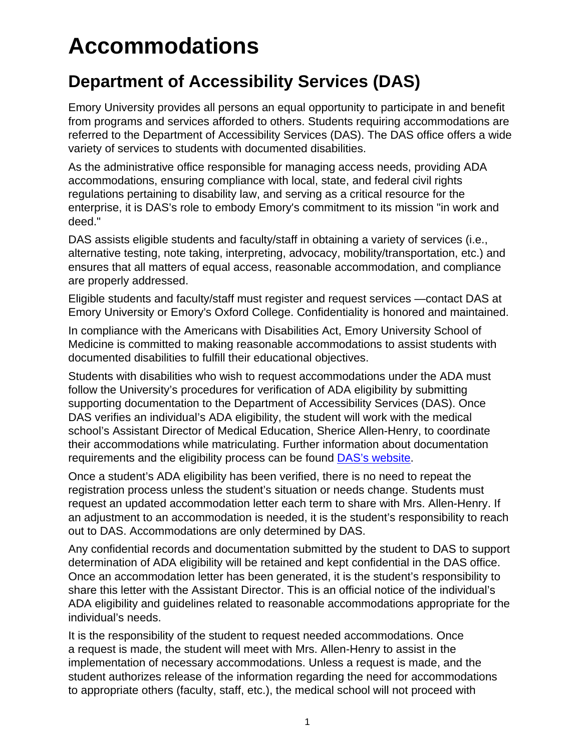# **Accommodations**

## **Department of Accessibility Services (DAS)**

Emory University provides all persons an equal opportunity to participate in and benefit from programs and services afforded to others. Students requiring accommodations are referred to the Department of Accessibility Services (DAS). The DAS office offers a wide variety of services to students with documented disabilities.

As the administrative office responsible for managing access needs, providing ADA accommodations, ensuring compliance with local, state, and federal civil rights regulations pertaining to disability law, and serving as a critical resource for the enterprise, it is DAS's role to embody Emory's commitment to its mission "in work and deed."

DAS assists eligible students and faculty/staff in obtaining a variety of services (i.e., alternative testing, note taking, interpreting, advocacy, mobility/transportation, etc.) and ensures that all matters of equal access, reasonable accommodation, and compliance are properly addressed.

Eligible students and faculty/staff must register and request services —contact DAS at Emory University or Emory's Oxford College. Confidentiality is honored and maintained.

In compliance with the Americans with Disabilities Act, Emory University School of Medicine is committed to making reasonable accommodations to assist students with documented disabilities to fulfill their educational objectives.

Students with disabilities who wish to request accommodations under the ADA must follow the University's procedures for verification of ADA eligibility by submitting supporting documentation to the Department of Accessibility Services (DAS). Once DAS verifies an individual's ADA eligibility, the student will work with the medical school's Assistant Director of Medical Education, Sherice Allen-Henry, to coordinate their accommodations while matriculating. Further information about documentation requirements and the eligibility process can be found [DAS's website.](http://accessibility.emory.edu/students/new-to-oas/documentation.html)

Once a student's ADA eligibility has been verified, there is no need to repeat the registration process unless the student's situation or needs change. Students must request an updated accommodation letter each term to share with Mrs. Allen-Henry. If an adjustment to an accommodation is needed, it is the student's responsibility to reach out to DAS. Accommodations are only determined by DAS.

Any confidential records and documentation submitted by the student to DAS to support determination of ADA eligibility will be retained and kept confidential in the DAS office. Once an accommodation letter has been generated, it is the student's responsibility to share this letter with the Assistant Director. This is an official notice of the individual's ADA eligibility and guidelines related to reasonable accommodations appropriate for the individual's needs.

It is the responsibility of the student to request needed accommodations. Once a request is made, the student will meet with Mrs. Allen-Henry to assist in the implementation of necessary accommodations. Unless a request is made, and the student authorizes release of the information regarding the need for accommodations to appropriate others (faculty, staff, etc.), the medical school will not proceed with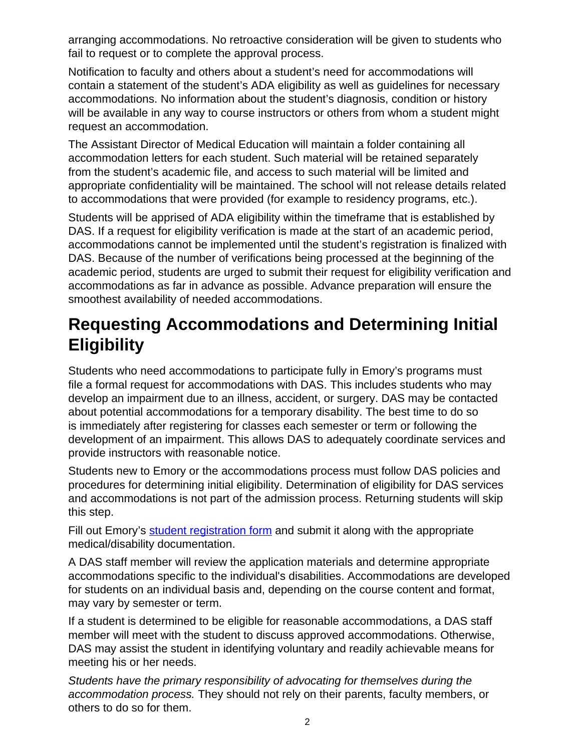arranging accommodations. No retroactive consideration will be given to students who fail to request or to complete the approval process.

Notification to faculty and others about a student's need for accommodations will contain a statement of the student's ADA eligibility as well as guidelines for necessary accommodations. No information about the student's diagnosis, condition or history will be available in any way to course instructors or others from whom a student might request an accommodation.

The Assistant Director of Medical Education will maintain a folder containing all accommodation letters for each student. Such material will be retained separately from the student's academic file, and access to such material will be limited and appropriate confidentiality will be maintained. The school will not release details related to accommodations that were provided (for example to residency programs, etc.).

Students will be apprised of ADA eligibility within the timeframe that is established by DAS. If a request for eligibility verification is made at the start of an academic period, accommodations cannot be implemented until the student's registration is finalized with DAS. Because of the number of verifications being processed at the beginning of the academic period, students are urged to submit their request for eligibility verification and accommodations as far in advance as possible. Advance preparation will ensure the smoothest availability of needed accommodations.

### **Requesting Accommodations and Determining Initial Eligibility**

Students who need accommodations to participate fully in Emory's programs must file a formal request for accommodations with DAS. This includes students who may develop an impairment due to an illness, accident, or surgery. DAS may be contacted about potential accommodations for a temporary disability. The best time to do so is immediately after registering for classes each semester or term or following the development of an impairment. This allows DAS to adequately coordinate services and provide instructors with reasonable notice.

Students new to Emory or the accommodations process must follow DAS policies and procedures for determining initial eligibility. Determination of eligibility for DAS services and accommodations is not part of the admission process. Returning students will skip this step.

Fill out Emory's [student registration form](http://accessibility.emory.edu/_includes/documents/sections/OAS-Student-Registration-Form.pdf) and submit it along with the appropriate medical/disability documentation.

A DAS staff member will review the application materials and determine appropriate accommodations specific to the individual's disabilities. Accommodations are developed for students on an individual basis and, depending on the course content and format, may vary by semester or term.

If a student is determined to be eligible for reasonable accommodations, a DAS staff member will meet with the student to discuss approved accommodations. Otherwise, DAS may assist the student in identifying voluntary and readily achievable means for meeting his or her needs.

Students have the primary responsibility of advocating for themselves during the accommodation process. They should not rely on their parents, faculty members, or others to do so for them.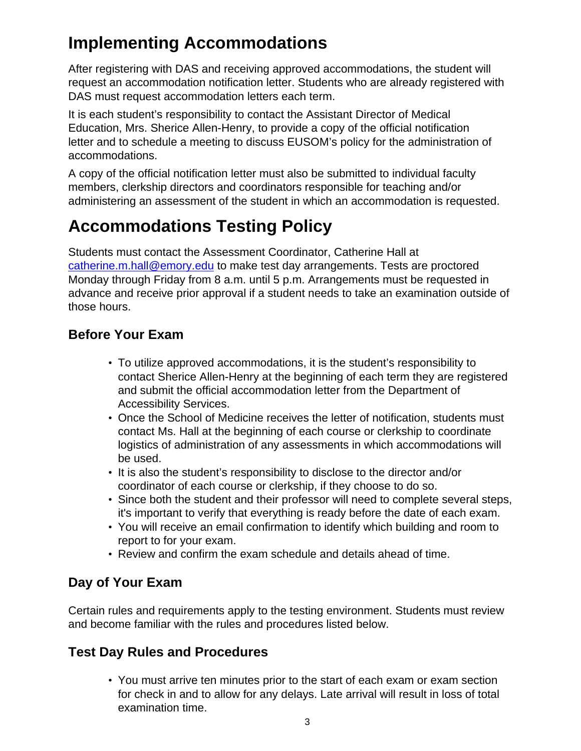## **Implementing Accommodations**

After registering with DAS and receiving approved accommodations, the student will request an accommodation notification letter. Students who are already registered with DAS must request accommodation letters each term.

It is each student's responsibility to contact the Assistant Director of Medical Education, Mrs. Sherice Allen-Henry, to provide a copy of the official notification letter and to schedule a meeting to discuss EUSOM's policy for the administration of accommodations.

A copy of the official notification letter must also be submitted to individual faculty members, clerkship directors and coordinators responsible for teaching and/or administering an assessment of the student in which an accommodation is requested.

# **Accommodations Testing Policy**

Students must contact the Assessment Coordinator, Catherine Hall at [catherine.m.hall@emory.edu](mailto:catherine.m.hall@emory.edu) to make test day arrangements. Tests are proctored Monday through Friday from 8 a.m. until 5 p.m. Arrangements must be requested in advance and receive prior approval if a student needs to take an examination outside of those hours.

#### **Before Your Exam**

- To utilize approved accommodations, it is the student's responsibility to contact Sherice Allen-Henry at the beginning of each term they are registered and submit the official accommodation letter from the Department of Accessibility Services.
- Once the School of Medicine receives the letter of notification, students must contact Ms. Hall at the beginning of each course or clerkship to coordinate logistics of administration of any assessments in which accommodations will be used.
- It is also the student's responsibility to disclose to the director and/or coordinator of each course or clerkship, if they choose to do so.
- Since both the student and their professor will need to complete several steps, it's important to verify that everything is ready before the date of each exam.
- You will receive an email confirmation to identify which building and room to report to for your exam.
- Review and confirm the exam schedule and details ahead of time.

### **Day of Your Exam**

Certain rules and requirements apply to the testing environment. Students must review and become familiar with the rules and procedures listed below.

### **Test Day Rules and Procedures**

• You must arrive ten minutes prior to the start of each exam or exam section for check in and to allow for any delays. Late arrival will result in loss of total examination time.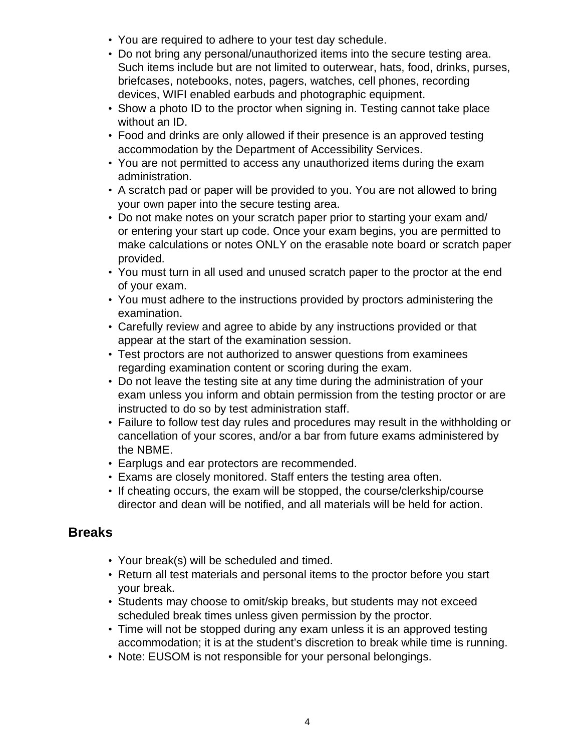- You are required to adhere to your test day schedule.
- Do not bring any personal/unauthorized items into the secure testing area. Such items include but are not limited to outerwear, hats, food, drinks, purses, briefcases, notebooks, notes, pagers, watches, cell phones, recording devices, WIFI enabled earbuds and photographic equipment.
- Show a photo ID to the proctor when signing in. Testing cannot take place without an ID.
- Food and drinks are only allowed if their presence is an approved testing accommodation by the Department of Accessibility Services.
- You are not permitted to access any unauthorized items during the exam administration.
- A scratch pad or paper will be provided to you. You are not allowed to bring your own paper into the secure testing area.
- Do not make notes on your scratch paper prior to starting your exam and/ or entering your start up code. Once your exam begins, you are permitted to make calculations or notes ONLY on the erasable note board or scratch paper provided.
- You must turn in all used and unused scratch paper to the proctor at the end of your exam.
- You must adhere to the instructions provided by proctors administering the examination.
- Carefully review and agree to abide by any instructions provided or that appear at the start of the examination session.
- Test proctors are not authorized to answer questions from examinees regarding examination content or scoring during the exam.
- Do not leave the testing site at any time during the administration of your exam unless you inform and obtain permission from the testing proctor or are instructed to do so by test administration staff.
- Failure to follow test day rules and procedures may result in the withholding or cancellation of your scores, and/or a bar from future exams administered by the NBME.
- Earplugs and ear protectors are recommended.
- Exams are closely monitored. Staff enters the testing area often.
- If cheating occurs, the exam will be stopped, the course/clerkship/course director and dean will be notified, and all materials will be held for action.

#### **Breaks**

- Your break(s) will be scheduled and timed.
- Return all test materials and personal items to the proctor before you start your break.
- Students may choose to omit/skip breaks, but students may not exceed scheduled break times unless given permission by the proctor.
- Time will not be stopped during any exam unless it is an approved testing accommodation; it is at the student's discretion to break while time is running.
- Note: EUSOM is not responsible for your personal belongings.